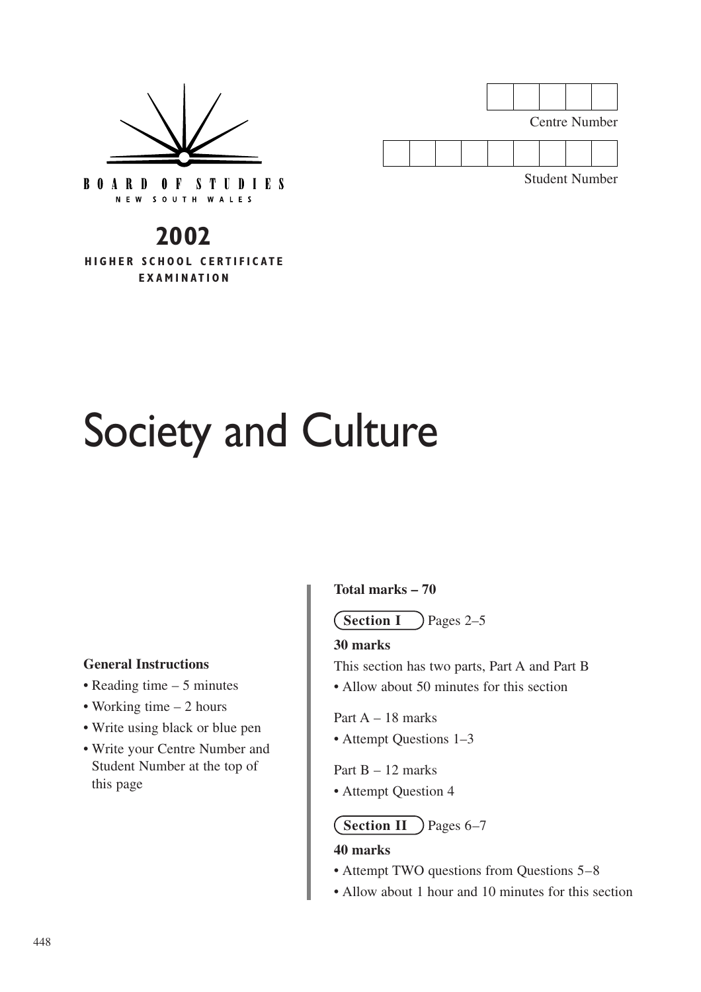

Centre Number

Student Number

**BOARD OF STUDIES** NEW SOUTH WALES

# **2002**

**HIGHER SCHOOL CERTIFICATE EXAMINATION**

# Society and Culture

#### **General Instructions**

- Reading time 5 minutes
- Working time 2 hours
- Write using black or blue pen
- Write your Centre Number and Student Number at the top of this page

#### **Total marks – 70**

 $\angle$  Pages 2–5 **Section I**

#### **30 marks**

This section has two parts, Part A and Part B

• Allow about 50 minutes for this section

Part  $A = 18$  marks

• Attempt Questions 1–3

Part  $B - 12$  marks

• Attempt Question 4

**Section II** ) Pages 6–7

#### **40 marks**

- Attempt TWO questions from Questions 5–8
- Allow about 1 hour and 10 minutes for this section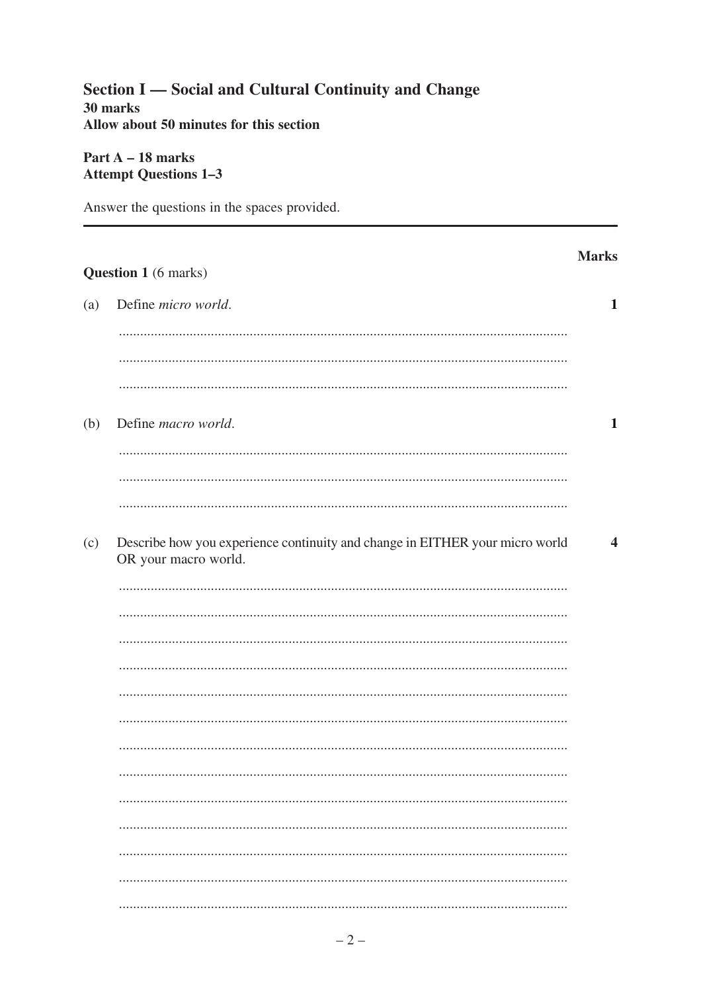#### Section I — Social and Cultural Continuity and Change 30 marks Allow about 50 minutes for this section

#### Part  $A - 18$  marks **Attempt Questions 1-3**

Answer the questions in the spaces provided.

## **Marks** Question 1 (6 marks) Define *micro* world.  $(a)$  $\mathbf{1}$  $(b)$ Define *macro* world.  $\mathbf{1}$ Describe how you experience continuity and change in EITHER your micro world  $(c)$  $\overline{\mathbf{4}}$ OR your macro world.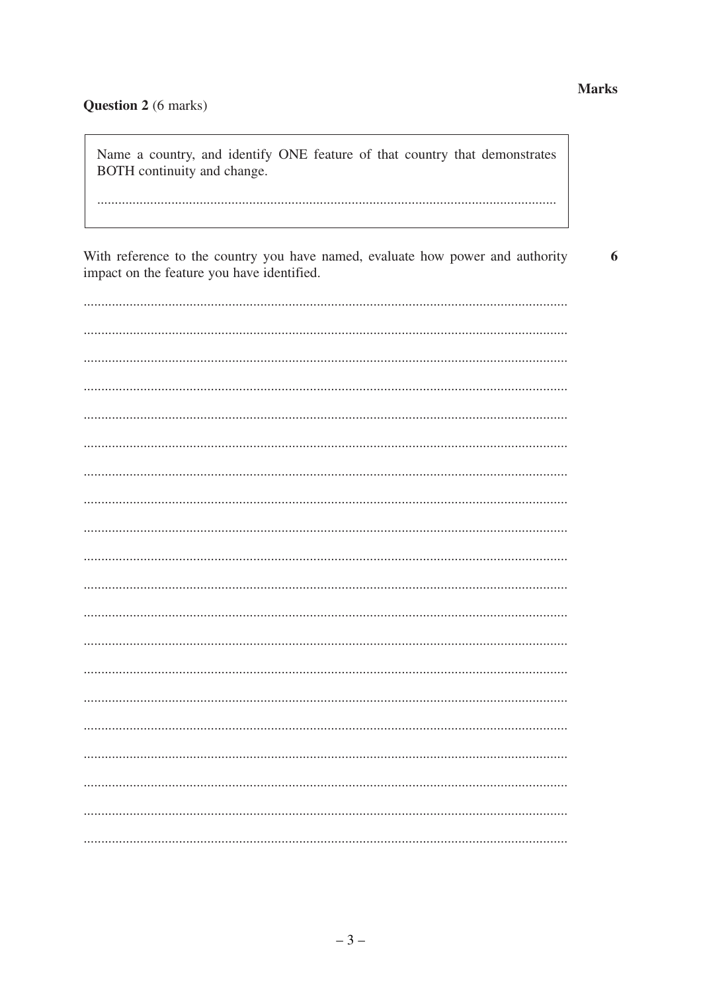#### Question 2 (6 marks)

Name a country, and identify ONE feature of that country that demonstrates BOTH continuity and change.

With reference to the country you have named, evaluate how power and authority 6 impact on the feature you have identified.

#### **Marks**

. . . . . . . . . . . . . .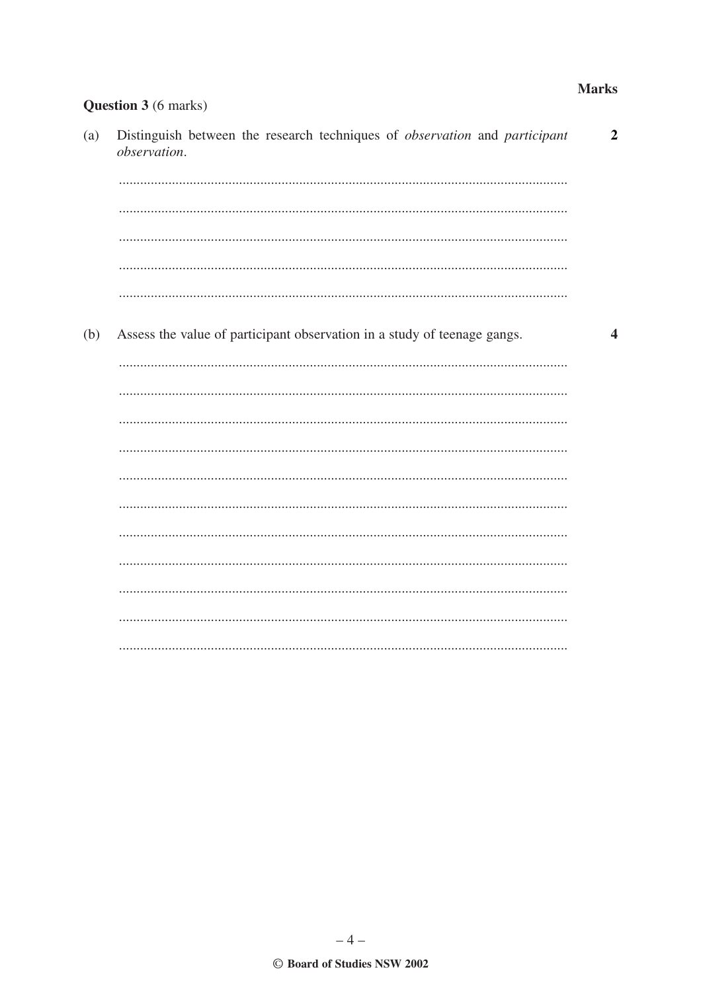#### **Marks**

 $\overline{2}$ 

 $\blacktriangle$ 

## Question 3 (6 marks) Distinguish between the research techniques of *observation* and *participant*  $(a)$ observation. Assess the value of participant observation in a study of teenage gangs. (b)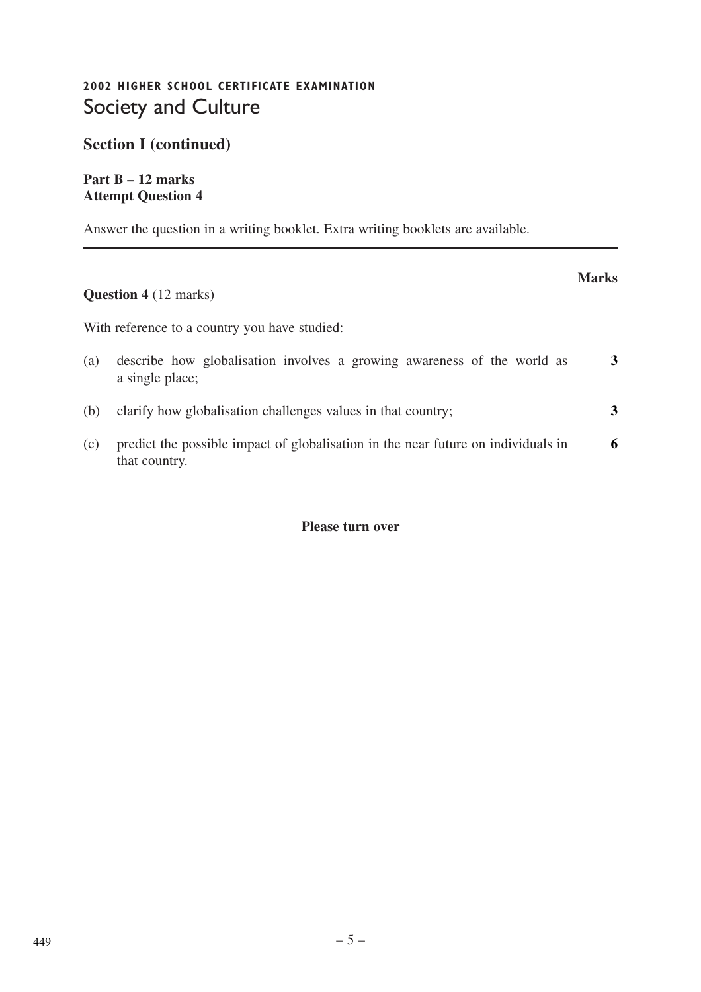## **2002 HIGHER SCHOOL CERTIFICATE EXAMINATION** Society and Culture

**Section I (continued)**

**Part B – 12 marks Attempt Question 4**

Answer the question in a writing booklet. Extra writing booklets are available.

## **Question 4** (12 marks)

With reference to a country you have studied:

| (a) | describe how globalisation involves a growing awareness of the world as<br>a single place;         |   |
|-----|----------------------------------------------------------------------------------------------------|---|
| (b) | clarify how globalisation challenges values in that country;                                       |   |
| (c) | predict the possible impact of globalisation in the near future on individuals in<br>that country. | 6 |

**Marks**

#### **Please turn over**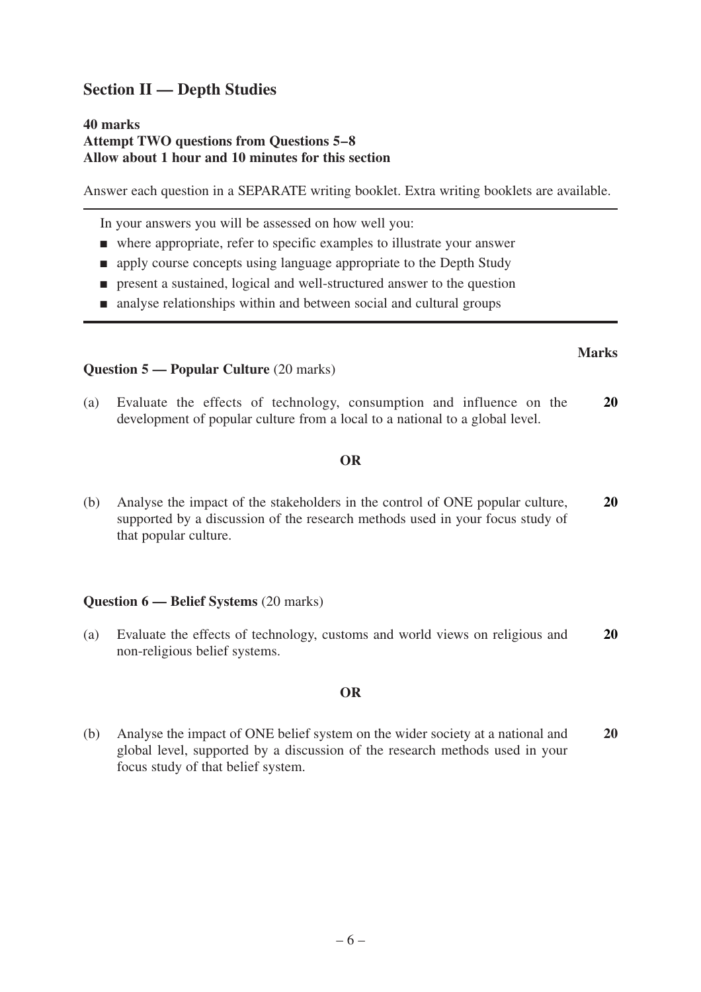### **Section II — Depth Studies**

#### **40 marks Attempt TWO questions from Questions 5–8 Allow about 1 hour and 10 minutes for this section**

Answer each question in a SEPARATE writing booklet. Extra writing booklets are available.

In your answers you will be assessed on how well you:

- where appropriate, refer to specific examples to illustrate your answer
- apply course concepts using language appropriate to the Depth Study
- present a sustained, logical and well-structured answer to the question
- analyse relationships within and between social and cultural groups

#### **Question 5 — Popular Culture** (20 marks)

(a) Evaluate the effects of technology, consumption and influence on the development of popular culture from a local to a national to a global level. **20**

#### **OR**

(b) Analyse the impact of the stakeholders in the control of ONE popular culture, supported by a discussion of the research methods used in your focus study of that popular culture. **20**

#### **Question 6 — Belief Systems** (20 marks)

(a) Evaluate the effects of technology, customs and world views on religious and non-religious belief systems. **20**

#### **OR**

(b) Analyse the impact of ONE belief system on the wider society at a national and global level, supported by a discussion of the research methods used in your focus study of that belief system. **20**

#### **Marks**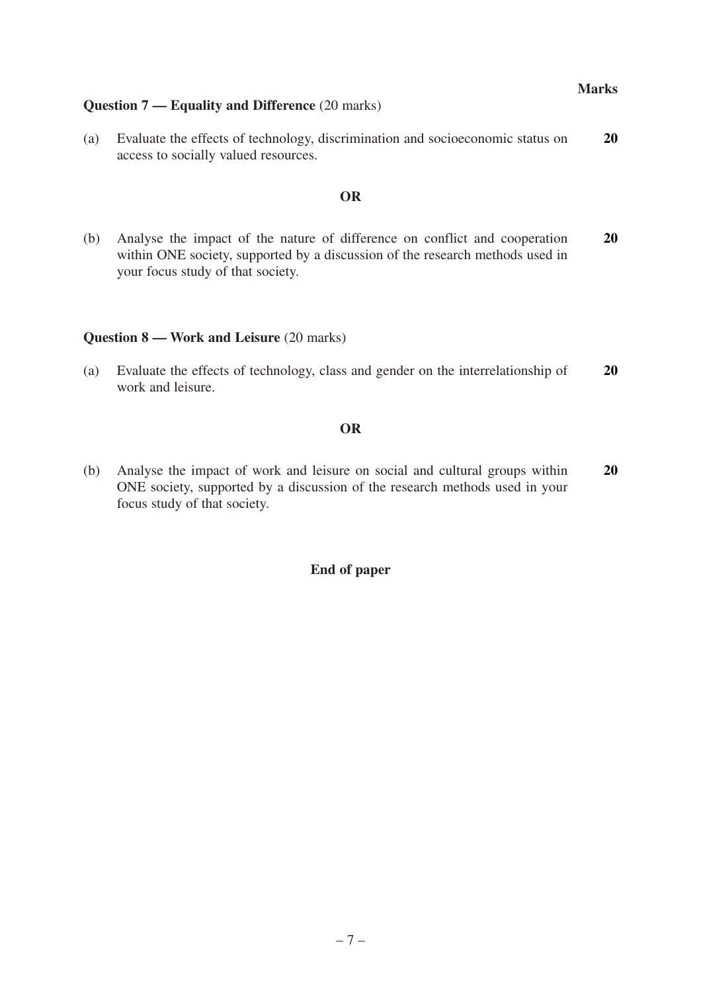#### **Question 7 — Equality and Difference** (20 marks)

(a) Evaluate the effects of technology, discrimination and socioeconomic status on access to socially valued resources. **20**

#### **OR**

(b) Analyse the impact of the nature of difference on conflict and cooperation within ONE society, supported by a discussion of the research methods used in your focus study of that society. **20**

#### **Question 8 — Work and Leisure** (20 marks)

(a) Evaluate the effects of technology, class and gender on the interrelationship of work and leisure. **20**

#### **OR**

(b) Analyse the impact of work and leisure on social and cultural groups within ONE society, supported by a discussion of the research methods used in your focus study of that society. **20**

#### **End of paper**

**Marks**